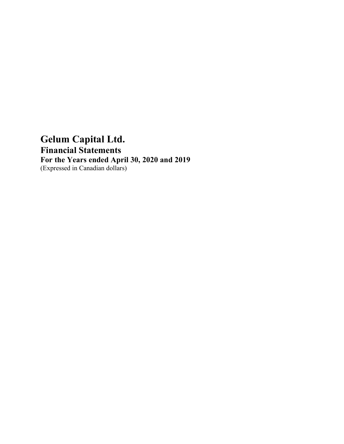# **Gelum Capital Ltd. Financial Statements For the Years ended April 30, 2020 and 2019** (Expressed in Canadian dollars)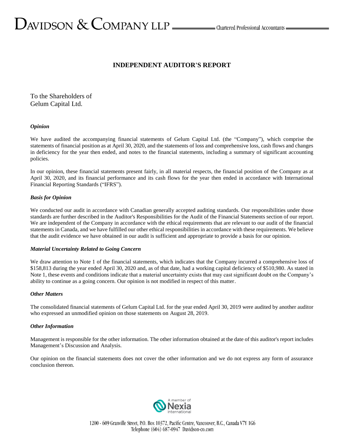# $D_{\text{AVIDSON}} \ \&\ \text{COMPANY LLP} \_\text{\tiny{LIP}}$  Chartered Professional Accountants  $D_{\text{AVIDSON}}$

# **INDEPENDENT AUDITOR'S REPORT**

To the Shareholders of Gelum Capital Ltd.

#### *Opinion*

We have audited the accompanying financial statements of Gelum Capital Ltd. (the "Company"), which comprise the statements of financial position as at April 30, 2020, and the statements of loss and comprehensive loss, cash flows and changes in deficiency for the year then ended, and notes to the financial statements, including a summary of significant accounting policies.

In our opinion, these financial statements present fairly, in all material respects, the financial position of the Company as at April 30, 2020, and its financial performance and its cash flows for the year then ended in accordance with International Financial Reporting Standards ("IFRS").

#### *Basis for Opinion*

We conducted our audit in accordance with Canadian generally accepted auditing standards. Our responsibilities under those standards are further described in the Auditor's Responsibilities for the Audit of the Financial Statements section of our report. We are independent of the Company in accordance with the ethical requirements that are relevant to our audit of the financial statements in Canada, and we have fulfilled our other ethical responsibilities in accordance with these requirements. We believe that the audit evidence we have obtained in our audit is sufficient and appropriate to provide a basis for our opinion.

#### *Material Uncertainty Related to Going Concern*

We draw attention to Note 1 of the financial statements, which indicates that the Company incurred a comprehensive loss of \$158,813 during the year ended April 30, 2020 and, as of that date, had a working capital deficiency of \$510,980. As stated in Note 1, these events and conditions indicate that a material uncertainty exists that may cast significant doubt on the Company's ability to continue as a going concern. Our opinion is not modified in respect of this matter.

#### *Other Matters*

The consolidated financial statements of Gelum Capital Ltd. for the year ended April 30, 2019 were audited by another auditor who expressed an unmodified opinion on those statements on August 28, 2019.

#### *Other Information*

Management is responsible for the other information. The other information obtained at the date of this auditor's report includes Management's Discussion and Analysis.

Our opinion on the financial statements does not cover the other information and we do not express any form of assurance conclusion thereon.

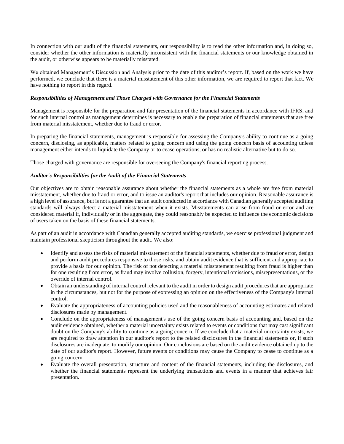In connection with our audit of the financial statements, our responsibility is to read the other information and, in doing so, consider whether the other information is materially inconsistent with the financial statements or our knowledge obtained in the audit, or otherwise appears to be materially misstated.

We obtained Management's Discussion and Analysis prior to the date of this auditor's report. If, based on the work we have performed, we conclude that there is a material misstatement of this other information, we are required to report that fact. We have nothing to report in this regard.

#### *Responsibilities of Management and Those Charged with Governance for the Financial Statements*

Management is responsible for the preparation and fair presentation of the financial statements in accordance with IFRS, and for such internal control as management determines is necessary to enable the preparation of financial statements that are free from material misstatement, whether due to fraud or error.

In preparing the financial statements, management is responsible for assessing the Company's ability to continue as a going concern, disclosing, as applicable, matters related to going concern and using the going concern basis of accounting unless management either intends to liquidate the Company or to cease operations, or has no realistic alternative but to do so.

Those charged with governance are responsible for overseeing the Company's financial reporting process.

#### *Auditor's Responsibilities for the Audit of the Financial Statements*

Our objectives are to obtain reasonable assurance about whether the financial statements as a whole are free from material misstatement, whether due to fraud or error, and to issue an auditor's report that includes our opinion. Reasonable assurance is a high level of assurance, but is not a guarantee that an audit conducted in accordance with Canadian generally accepted auditing standards will always detect a material misstatement when it exists. Misstatements can arise from fraud or error and are considered material if, individually or in the aggregate, they could reasonably be expected to influence the economic decisions of users taken on the basis of these financial statements.

As part of an audit in accordance with Canadian generally accepted auditing standards, we exercise professional judgment and maintain professional skepticism throughout the audit. We also:

- Identify and assess the risks of material misstatement of the financial statements, whether due to fraud or error, design and perform audit procedures responsive to those risks, and obtain audit evidence that is sufficient and appropriate to provide a basis for our opinion. The risk of not detecting a material misstatement resulting from fraud is higher than for one resulting from error, as fraud may involve collusion, forgery, intentional omissions, misrepresentations, or the override of internal control.
- Obtain an understanding of internal control relevant to the audit in order to design audit procedures that are appropriate in the circumstances, but not for the purpose of expressing an opinion on the effectiveness of the Company's internal control.
- Evaluate the appropriateness of accounting policies used and the reasonableness of accounting estimates and related disclosures made by management.
- Conclude on the appropriateness of management's use of the going concern basis of accounting and, based on the audit evidence obtained, whether a material uncertainty exists related to events or conditions that may cast significant doubt on the Company's ability to continue as a going concern. If we conclude that a material uncertainty exists, we are required to draw attention in our auditor's report to the related disclosures in the financial statements or, if such disclosures are inadequate, to modify our opinion. Our conclusions are based on the audit evidence obtained up to the date of our auditor's report. However, future events or conditions may cause the Company to cease to continue as a going concern.
- Evaluate the overall presentation, structure and content of the financial statements, including the disclosures, and whether the financial statements represent the underlying transactions and events in a manner that achieves fair presentation.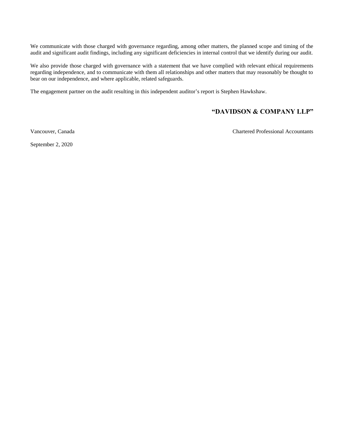We communicate with those charged with governance regarding, among other matters, the planned scope and timing of the audit and significant audit findings, including any significant deficiencies in internal control that we identify during our audit.

We also provide those charged with governance with a statement that we have complied with relevant ethical requirements regarding independence, and to communicate with them all relationships and other matters that may reasonably be thought to bear on our independence, and where applicable, related safeguards.

The engagement partner on the audit resulting in this independent auditor's report is Stephen Hawkshaw.

# **"DAVIDSON & COMPANY LLP"**

Vancouver, Canada Chartered Professional Accountants

September 2, 2020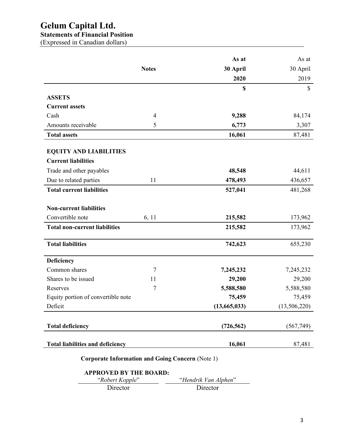# **Gelum Capital Ltd.**

# **Statements of Financial Position**

(Expressed in Canadian dollars)

|                                         |                | As at        | As at        |
|-----------------------------------------|----------------|--------------|--------------|
|                                         | <b>Notes</b>   | 30 April     | 30 April     |
|                                         |                | 2020         | 2019         |
|                                         |                | \$           | \$           |
| <b>ASSETS</b>                           |                |              |              |
| <b>Current assets</b>                   |                |              |              |
| Cash                                    | $\overline{4}$ | 9,288        | 84,174       |
| Amounts receivable                      | 5              | 6,773        | 3,307        |
| <b>Total assets</b>                     |                | 16,061       | 87,481       |
|                                         |                |              |              |
| <b>EQUITY AND LIABILITIES</b>           |                |              |              |
| <b>Current liabilities</b>              |                |              |              |
| Trade and other payables                |                | 48,548       | 44,611       |
| Due to related parties                  | 11             | 478,493      | 436,657      |
| <b>Total current liabilities</b>        |                | 527,041      | 481,268      |
| <b>Non-current liabilities</b>          |                |              |              |
| Convertible note                        | 6, 11          | 215,582      | 173,962      |
|                                         |                |              |              |
| <b>Total non-current liabilities</b>    |                | 215,582      | 173,962      |
| <b>Total liabilities</b>                |                | 742,623      | 655,230      |
| Deficiency                              |                |              |              |
| Common shares                           | 7              | 7,245,232    | 7,245,232    |
| Shares to be issued                     | 11             | 29,200       | 29,200       |
| Reserves                                | 7              | 5,588,580    | 5,588,580    |
| Equity portion of convertible note      |                | 75,459       | 75,459       |
| Deficit                                 |                | (13,665,033) | (13,506,220) |
|                                         |                |              |              |
| <b>Total deficiency</b>                 |                | (726, 562)   | (567,749)    |
|                                         |                |              |              |
| <b>Total liabilities and deficiency</b> |                | 16,061       | 87,481       |

**Corporate Information and Going Concern** (Note 1)

# **APPROVED BY THE BOARD:**

| "Robert Kopple" | "Hendrik Van Alphen" |
|-----------------|----------------------|
| Director        | Director             |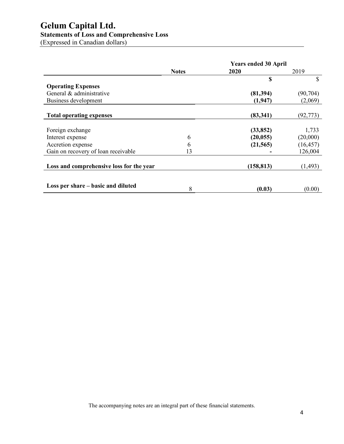# **Gelum Capital Ltd.**

# **Statements of Loss and Comprehensive Loss**

(Expressed in Canadian dollars)

|                                          |              | <b>Years ended 30 April</b> |              |
|------------------------------------------|--------------|-----------------------------|--------------|
|                                          | <b>Notes</b> | 2020                        | 2019         |
|                                          |              | \$                          | $\mathbb{S}$ |
| <b>Operating Expenses</b>                |              |                             |              |
| General & administrative                 |              | (81,394)                    | (90, 704)    |
| Business development                     |              | (1, 947)                    | (2,069)      |
|                                          |              |                             |              |
| <b>Total operating expenses</b>          |              | (83, 341)                   | (92, 773)    |
| Foreign exchange                         |              | (33, 852)                   | 1,733        |
| Interest expense                         | 6            | (20, 055)                   | (20,000)     |
| Accretion expense                        | 6            | (21, 565)                   | (16, 457)    |
| Gain on recovery of loan receivable      | 13           |                             | 126,004      |
| Loss and comprehensive loss for the year |              | (158, 813)                  | (1, 493)     |
|                                          |              |                             |              |
| Loss per share – basic and diluted       | 8            | (0.03)                      | (0.00)       |

The accompanying notes are an integral part of these financial statements.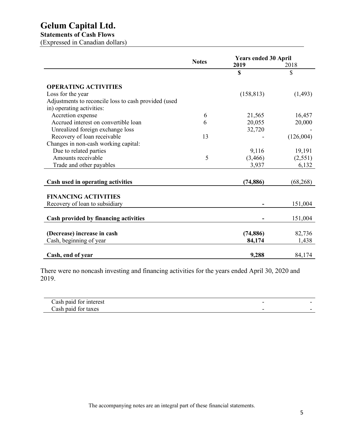# **Gelum Capital Ltd.**

# **Statements of Cash Flows**

(Expressed in Canadian dollars)

|                                                      |              | <b>Years ended 30 April</b> |           |
|------------------------------------------------------|--------------|-----------------------------|-----------|
|                                                      | <b>Notes</b> | 2019                        | 2018      |
|                                                      |              | \$                          | \$        |
| <b>OPERATING ACTIVITIES</b>                          |              |                             |           |
| Loss for the year                                    |              | (158, 813)                  | (1, 493)  |
| Adjustments to reconcile loss to cash provided (used |              |                             |           |
| in) operating activities:                            |              |                             |           |
| Accretion expense                                    | 6            | 21,565                      | 16,457    |
| Accrued interest on convertible loan                 | 6            | 20,055                      | 20,000    |
| Unrealized foreign exchange loss                     |              | 32,720                      |           |
| Recovery of loan receivable                          | 13           |                             | (126,004) |
| Changes in non-cash working capital:                 |              |                             |           |
| Due to related parties                               |              | 9,116                       | 19,191    |
| Amounts receivable                                   | 5            | (3,466)                     | (2,551)   |
| Trade and other payables                             |              | 3,937                       | 6,132     |
|                                                      |              |                             |           |
| Cash used in operating activities                    |              | (74, 886)                   | (68, 268) |
| <b>FINANCING ACTIVITIES</b>                          |              |                             |           |
| Recovery of loan to subsidiary                       |              |                             | 151,004   |
|                                                      |              |                             |           |
| Cash provided by financing activities                |              |                             | 151,004   |
|                                                      |              |                             |           |
| (Decrease) increase in cash                          |              | (74, 886)                   | 82,736    |
| Cash, beginning of year                              |              | 84,174                      | 1,438     |
| Cash, end of year                                    |              | 9,288                       | 84,174    |

There were no noncash investing and financing activities for the years ended April 30, 2020 and 2019.

| Cash paid for interest |  |
|------------------------|--|
| Cash paid for taxes    |  |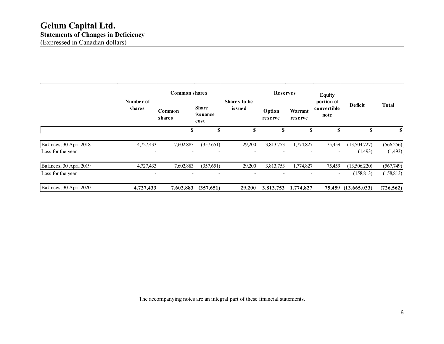|                                              |                     | <b>Reserves</b><br><b>Common shares</b>                               |                                       |                        | <b>Equity</b>            |                    |                                   |                         |                       |
|----------------------------------------------|---------------------|-----------------------------------------------------------------------|---------------------------------------|------------------------|--------------------------|--------------------|-----------------------------------|-------------------------|-----------------------|
|                                              | Number of<br>shares | Common<br>shares                                                      | <b>Share</b><br>issuance<br>cost      | Shares to be<br>issued | Option<br>reserve        | Warrant<br>reserve | portion of<br>convertible<br>note | <b>Deficit</b>          | <b>Total</b>          |
|                                              |                     | S                                                                     | S                                     | \$                     | \$                       | S                  | S                                 | \$                      | S                     |
| Balances, 30 April 2018<br>Loss for the year | 4,727,433           | 7,602,883<br>$\qquad \qquad \blacksquare$<br>$\overline{\phantom{a}}$ | (357,651)<br>$\overline{\phantom{0}}$ | 29,200<br>٠            | 3,813,753                | 1,774,827          | 75,459<br>$\blacksquare$          | (13,504,727)<br>(1,493) | (566, 256)<br>(1,493) |
| Balances, 30 April 2019                      | 4,727,433           | 7,602,883                                                             | (357,651)                             | 29,200                 | 3,813,753                | 1,774,827          | 75,459                            | (13,506,220)            | (567,749)             |
| Loss for the year                            |                     | $\overline{\phantom{a}}$<br>$\overline{\phantom{a}}$                  | $\overline{\phantom{0}}$              | ٠                      | $\overline{\phantom{0}}$ |                    | $\blacksquare$                    | (158, 813)              | (158, 813)            |
| Balances, 30 April 2020                      | 4,727,433           | 7,602,883                                                             | (357, 651)                            | 29,200                 | 3,813,753                | 1,774,827          | 75,459                            | (13,665,033)            | (726, 562)            |

The accompanying notes are an integral part of these financial statements.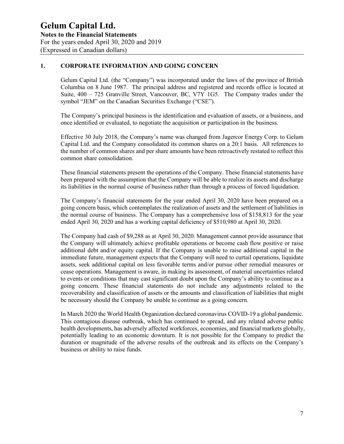# **1. CORPORATE INFORMATION AND GOING CONCERN**

Gelum Capital Ltd. (the "Company") was incorporated under the laws of the province of British Columbia on 8 June 1987. The principal address and registered and records office is located at Suite, 400 – 725 Granville Street, Vancouver, BC, V7Y 1G5. The Company trades under the symbol "JEM" on the Canadian Securities Exchange ("CSE").

The Company's principal business is the identification and evaluation of assets, or a business, and once identified or evaluated, to negotiate the acquisition or participation in the business.

Effective 30 July 2018, the Company's name was changed from Jagercor Energy Corp. to Gelum Capital Ltd. and the Company consolidated its common shares on a 20:1 basis. All references to the number of common shares and per share amounts have been retroactively restated to reflect this common share consolidation.

These financial statements present the operations of the Company. These financial statements have been prepared with the assumption that the Company will be able to realize its assets and discharge its liabilities in the normal course of business rather than through a process of forced liquidation.

The Company's financial statements for the year ended April 30, 2020 have been prepared on a going concern basis, which contemplates the realization of assets and the settlement of liabilities in the normal course of business. The Company has a comprehensive loss of \$158,813 for the year ended April 30, 2020 and has a working capital deficiency of \$510,980 at April 30, 2020.

The Company had cash of \$9,288 as at April 30, 2020. Management cannot provide assurance that the Company will ultimately achieve profitable operations or become cash flow positive or raise additional debt and/or equity capital. If the Company is unable to raise additional capital in the immediate future, management expects that the Company will need to curtail operations, liquidate assets, seek additional capital on less favorable terms and/or pursue other remedial measures or cease operations. Management is aware, in making its assessment, of material uncertainties related to events or conditions that may cast significant doubt upon the Company's ability to continue as a going concern. These financial statements do not include any adjustments related to the recoverability and classification of assets or the amounts and classification of liabilities that might be necessary should the Company be unable to continue as a going concern.

In March 2020 the World Health Organization declared coronavirus COVID-19 a global pandemic. This contagious disease outbreak, which has continued to spread, and any related adverse public health developments, has adversely affected workforces, economies, and financial markets globally, potentially leading to an economic downturn. It is not possible for the Company to predict the duration or magnitude of the adverse results of the outbreak and its effects on the Company's business or ability to raise funds.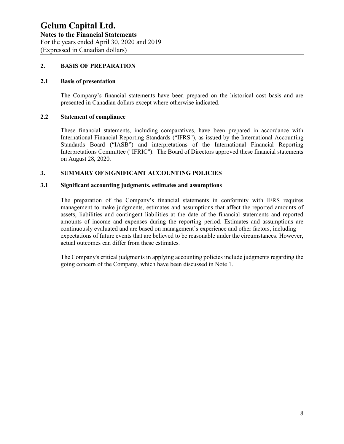# **2. BASIS OF PREPARATION**

## **2.1 Basis of presentation**

The Company's financial statements have been prepared on the historical cost basis and are presented in Canadian dollars except where otherwise indicated.

#### **2.2 Statement of compliance**

These financial statements, including comparatives, have been prepared in accordance with International Financial Reporting Standards ("IFRS"), as issued by the International Accounting Standards Board ("IASB") and interpretations of the International Financial Reporting Interpretations Committee ("IFRIC"). The Board of Directors approved these financial statements on August 28, 2020.

# **3. SUMMARY OF SIGNIFICANT ACCOUNTING POLICIES**

# **3.1 Significant accounting judgments, estimates and assumptions**

The preparation of the Company's financial statements in conformity with IFRS requires management to make judgments, estimates and assumptions that affect the reported amounts of assets, liabilities and contingent liabilities at the date of the financial statements and reported amounts of income and expenses during the reporting period. Estimates and assumptions are continuously evaluated and are based on management's experience and other factors, including expectations of future events that are believed to be reasonable under the circumstances. However, actual outcomes can differ from these estimates.

The Company's critical judgments in applying accounting policies include judgments regarding the going concern of the Company, which have been discussed in Note 1.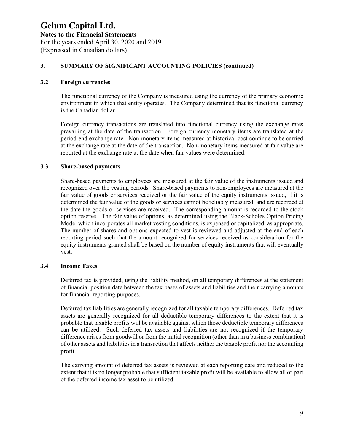#### **3.2 Foreign currencies**

The functional currency of the Company is measured using the currency of the primary economic environment in which that entity operates. The Company determined that its functional currency is the Canadian dollar.

Foreign currency transactions are translated into functional currency using the exchange rates prevailing at the date of the transaction. Foreign currency monetary items are translated at the period-end exchange rate. Non-monetary items measured at historical cost continue to be carried at the exchange rate at the date of the transaction. Non-monetary items measured at fair value are reported at the exchange rate at the date when fair values were determined.

#### **3.3 Share-based payments**

Share-based payments to employees are measured at the fair value of the instruments issued and recognized over the vesting periods. Share-based payments to non-employees are measured at the fair value of goods or services received or the fair value of the equity instruments issued, if it is determined the fair value of the goods or services cannot be reliably measured, and are recorded at the date the goods or services are received. The corresponding amount is recorded to the stock option reserve. The fair value of options, as determined using the Black-Scholes Option Pricing Model which incorporates all market vesting conditions, is expensed or capitalized, as appropriate. The number of shares and options expected to vest is reviewed and adjusted at the end of each reporting period such that the amount recognized for services received as consideration for the equity instruments granted shall be based on the number of equity instruments that will eventually vest.

# **3.4 Income Taxes**

Deferred tax is provided, using the liability method, on all temporary differences at the statement of financial position date between the tax bases of assets and liabilities and their carrying amounts for financial reporting purposes.

Deferred tax liabilities are generally recognized for all taxable temporary differences. Deferred tax assets are generally recognized for all deductible temporary differences to the extent that it is probable that taxable profits will be available against which those deductible temporary differences can be utilized. Such deferred tax assets and liabilities are not recognized if the temporary difference arises from goodwill or from the initial recognition (other than in a business combination) of other assets and liabilities in a transaction that affects neither the taxable profit nor the accounting profit.

The carrying amount of deferred tax assets is reviewed at each reporting date and reduced to the extent that it is no longer probable that sufficient taxable profit will be available to allow all or part of the deferred income tax asset to be utilized.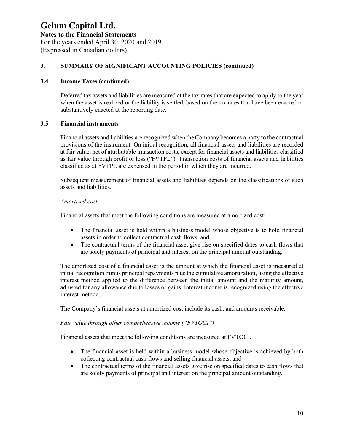#### **3.4 Income Taxes (continued)**

Deferred tax assets and liabilities are measured at the tax rates that are expected to apply to the year when the asset is realized or the liability is settled, based on the tax rates that have been enacted or substantively enacted at the reporting date.

# **3.5 Financial instruments**

Financial assets and liabilities are recognized when the Company becomes a party to the contractual provisions of the instrument. On initial recognition, all financial assets and liabilities are recorded at fair value, net of attributable transaction costs, except for financial assets and liabilities classified as fair value through profit or loss ("FVTPL"). Transaction costs of financial assets and liabilities classified as at FVTPL are expensed in the period in which they are incurred.

Subsequent measurement of financial assets and liabilities depends on the classifications of such assets and liabilities.

#### *Amortized cost*

Financial assets that meet the following conditions are measured at amortized cost:

- The financial asset is held within a business model whose objective is to hold financial assets in order to collect contractual cash flows, and
- The contractual terms of the financial asset give rise on specified dates to cash flows that are solely payments of principal and interest on the principal amount outstanding.

The amortized cost of a financial asset is the amount at which the financial asset is measured at initial recognition minus principal repayments plus the cumulative amortization, using the effective interest method applied to the difference between the initial amount and the maturity amount, adjusted for any allowance due to losses or gains. Interest income is recognized using the effective interest method.

The Company's financial assets at amortized cost include its cash, and amounts receivable.

#### *Fair value through other comprehensive income ("FVTOCI")*

Financial assets that meet the following conditions are measured at FVTOCI.

- The financial asset is held within a business model whose objective is achieved by both collecting contractual cash flows and selling financial assets, and
- The contractual terms of the financial assets give rise on specified dates to cash flows that are solely payments of principal and interest on the principal amount outstanding.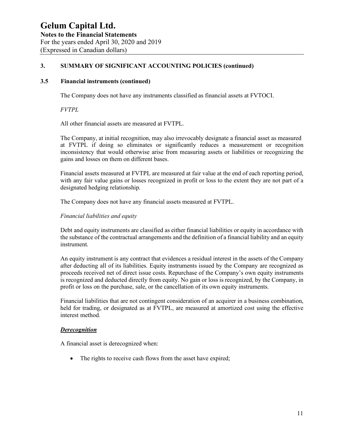#### **3.5 Financial instruments (continued)**

The Company does not have any instruments classified as financial assets at FVTOCI.

*FVTPL*

All other financial assets are measured at FVTPL.

The Company, at initial recognition, may also irrevocably designate a financial asset as measured at FVTPL if doing so eliminates or significantly reduces a measurement or recognition inconsistency that would otherwise arise from measuring assets or liabilities or recognizing the gains and losses on them on different bases.

Financial assets measured at FVTPL are measured at fair value at the end of each reporting period, with any fair value gains or losses recognized in profit or loss to the extent they are not part of a designated hedging relationship.

The Company does not have any financial assets measured at FVTPL.

*Financial liabilities and equity*

Debt and equity instruments are classified as either financial liabilities or equity in accordance with the substance of the contractual arrangements and the definition of a financial liability and an equity instrument.

An equity instrument is any contract that evidences a residual interest in the assets of the Company after deducting all of its liabilities. Equity instruments issued by the Company are recognized as proceeds received net of direct issue costs. Repurchase of the Company's own equity instruments is recognized and deducted directly from equity. No gain or loss is recognized, by the Company, in profit or loss on the purchase, sale, or the cancellation of its own equity instruments.

Financial liabilities that are not contingent consideration of an acquirer in a business combination, held for trading, or designated as at FVTPL, are measured at amortized cost using the effective interest method.

#### *Derecognition*

A financial asset is derecognized when:

• The rights to receive cash flows from the asset have expired;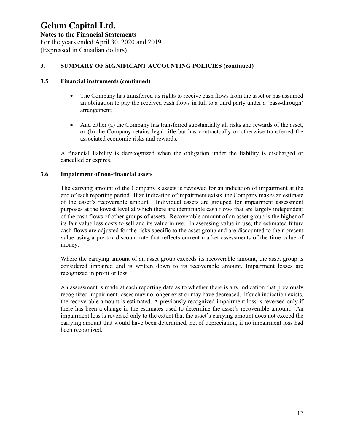#### **3.5 Financial instruments (continued)**

- The Company has transferred its rights to receive cash flows from the asset or has assumed an obligation to pay the received cash flows in full to a third party under a 'pass-through' arrangement;
- And either (a) the Company has transferred substantially all risks and rewards of the asset, or (b) the Company retains legal title but has contractually or otherwise transferred the associated economic risks and rewards.

A financial liability is derecognized when the obligation under the liability is discharged or cancelled or expires.

#### **3.6 Impairment of non-financial assets**

The carrying amount of the Company's assets is reviewed for an indication of impairment at the end of each reporting period. If an indication of impairment exists, the Company makes an estimate of the asset's recoverable amount. Individual assets are grouped for impairment assessment purposes at the lowest level at which there are identifiable cash flows that are largely independent of the cash flows of other groups of assets. Recoverable amount of an asset group is the higher of its fair value less costs to sell and its value in use. In assessing value in use, the estimated future cash flows are adjusted for the risks specific to the asset group and are discounted to their present value using a pre-tax discount rate that reflects current market assessments of the time value of money.

Where the carrying amount of an asset group exceeds its recoverable amount, the asset group is considered impaired and is written down to its recoverable amount. Impairment losses are recognized in profit or loss.

An assessment is made at each reporting date as to whether there is any indication that previously recognized impairment losses may no longer exist or may have decreased. If such indication exists, the recoverable amount is estimated. A previously recognized impairment loss is reversed only if there has been a change in the estimates used to determine the asset's recoverable amount. An impairment loss is reversed only to the extent that the asset's carrying amount does not exceed the carrying amount that would have been determined, net of depreciation, if no impairment loss had been recognized.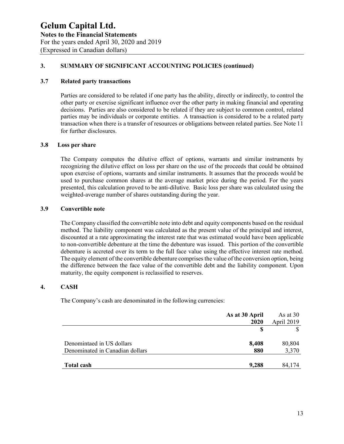#### **3.7 Related party transactions**

Parties are considered to be related if one party has the ability, directly or indirectly, to control the other party or exercise significant influence over the other party in making financial and operating decisions. Parties are also considered to be related if they are subject to common control, related parties may be individuals or corporate entities. A transaction is considered to be a related party transaction when there is a transfer of resources or obligations between related parties. See Note 11 for further disclosures.

#### **3.8 Loss per share**

The Company computes the dilutive effect of options, warrants and similar instruments by recognizing the dilutive effect on loss per share on the use of the proceeds that could be obtained upon exercise of options, warrants and similar instruments. It assumes that the proceeds would be used to purchase common shares at the average market price during the period. For the years presented, this calculation proved to be anti-dilutive. Basic loss per share was calculated using the weighted-average number of shares outstanding during the year.

#### **3.9 Convertible note**

The Company classified the convertible note into debt and equity components based on the residual method. The liability component was calculated as the present value of the principal and interest, discounted at a rate approximating the interest rate that was estimated would have been applicable to non-convertible debenture at the time the debenture was issued. This portion of the convertible debenture is accreted over its term to the full face value using the effective interest rate method. The equity element of the convertible debenture comprises the value of the conversion option, being the difference between the face value of the convertible debt and the liability component. Upon maturity, the equity component is reclassified to reserves.

# **4. CASH**

The Company's cash are denominated in the following currencies:

| As at 30 April                         | As at $30$ |
|----------------------------------------|------------|
| 2020                                   | April 2019 |
|                                        | S          |
|                                        |            |
| Denomintaed in US dollars<br>8,408     | 80,804     |
| Denominated in Canadian dollars<br>880 | 3,370      |
|                                        |            |
| 9,288<br>Total cash                    | 84,174     |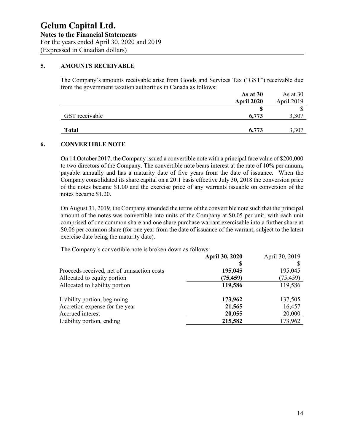# **5. AMOUNTS RECEIVABLE**

The Company's amounts receivable arise from Goods and Services Tax ("GST") receivable due from the government taxation authorities in Canada as follows:

|                | As at $30$        | As at $30$ |
|----------------|-------------------|------------|
|                | <b>April 2020</b> | April 2019 |
|                |                   |            |
| GST receivable | 6,773             |            |
|                |                   |            |
| <b>Total</b>   | 6,773             | 3,307      |

#### **6. CONVERTIBLE NOTE**

On 14 October 2017, the Company issued a convertible note with a principal face value of \$200,000 to two directors of the Company. The convertible note bears interest at the rate of 10% per annum, payable annually and has a maturity date of five years from the date of issuance. When the Company consolidated its share capital on a 20:1 basis effective July 30, 2018 the conversion price of the notes became \$1.00 and the exercise price of any warrants issuable on conversion of the notes became \$1.20.

On August 31, 2019, the Company amended the terms of the convertible note such that the principal amount of the notes was convertible into units of the Company at \$0.05 per unit, with each unit comprised of one common share and one share purchase warrant exercisable into a further share at \$0.06 per common share (for one year from the date of issuance of the warrant, subject to the latest exercise date being the maturity date).

The Company´s convertible note is broken down as follows:

|                                             | <b>April 30, 2020</b> | April 30, 2019 |
|---------------------------------------------|-----------------------|----------------|
|                                             |                       |                |
| Proceeds received, net of transaction costs | 195,045               | 195,045        |
| Allocated to equity portion                 | (75, 459)             | (75, 459)      |
| Allocated to liability portion              | 119,586               | 119,586        |
| Liability portion, beginning                | 173,962               | 137,505        |
| Accretion expense for the year              | 21,565                | 16,457         |
| Accrued interest                            | 20,055                | 20,000         |
| Liability portion, ending                   | 215,582               | 173,962        |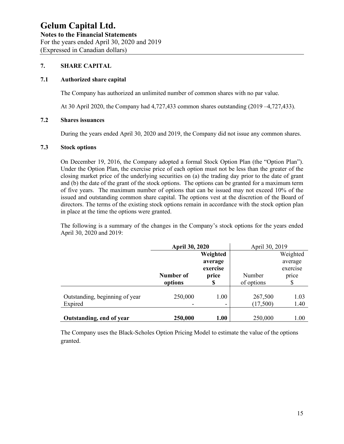# **7. SHARE CAPITAL**

#### **7.1 Authorized share capital**

The Company has authorized an unlimited number of common shares with no par value.

At 30 April 2020, the Company had 4,727,433 common shares outstanding (2019 –4,727,433).

# **7.2 Shares issuances**

During the years ended April 30, 2020 and 2019, the Company did not issue any common shares.

#### **7.3 Stock options**

On December 19, 2016, the Company adopted a formal Stock Option Plan (the "Option Plan"). Under the Option Plan, the exercise price of each option must not be less than the greater of the closing market price of the underlying securities on (a) the trading day prior to the date of grant and (b) the date of the grant of the stock options. The options can be granted for a maximum term of five years. The maximum number of options that can be issued may not exceed 10% of the issued and outstanding common share capital. The options vest at the discretion of the Board of directors. The terms of the existing stock options remain in accordance with the stock option plan in place at the time the options were granted.

The following is a summary of the changes in the Company's stock options for the years ended April 30, 2020 and 2019:

|                                | <b>April 30, 2020</b> |          | April 30, 2019 |          |
|--------------------------------|-----------------------|----------|----------------|----------|
|                                |                       | Weighted |                | Weighted |
|                                |                       | average  |                | average  |
|                                |                       | exercise |                | exercise |
|                                | Number of             | price    | Number         | price    |
|                                | options               | S        | of options     | \$       |
|                                |                       |          |                |          |
| Outstanding, beginning of year | 250,000               | 1.00     | 267,500        | 1.03     |
| Expired                        |                       | -        | (17,500)       | 1.40     |
|                                |                       |          |                |          |
| Outstanding, end of year       | 250,000               | 1.00     | 250,000        | 1.00     |

The Company uses the Black-Scholes Option Pricing Model to estimate the value of the options granted.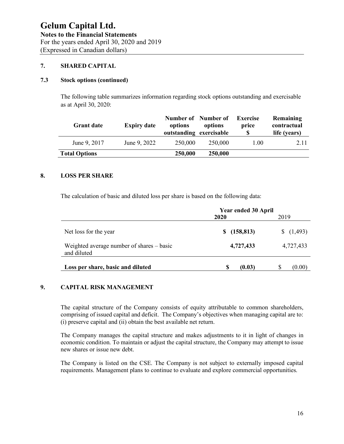# **7. SHARED CAPITAL**

## **7.3 Stock options (continued)**

The following table summarizes information regarding stock options outstanding and exercisable as at April 30, 2020:

| <b>Grant date</b>    | <b>Expiry date</b> | Number of Number of<br>options<br>outstanding exercisable | options | Exercise<br>price | Remaining<br>contractual<br>life (years) |
|----------------------|--------------------|-----------------------------------------------------------|---------|-------------------|------------------------------------------|
| June 9, 2017         | June 9, 2022       | 250,000                                                   | 250,000 | 1.00              | 2.11                                     |
| <b>Total Options</b> |                    | 250,000                                                   | 250,000 |                   |                                          |

# **8. LOSS PER SHARE**

The calculation of basic and diluted loss per share is based on the following data:

|                                                          | <b>Year ended 30 April</b> |           |  |
|----------------------------------------------------------|----------------------------|-----------|--|
|                                                          | 2020                       | 2019      |  |
| Net loss for the year                                    | (158, 813)<br>SS.          | (1,493)   |  |
| Weighted average number of shares – basic<br>and diluted | 4,727,433                  | 4,727,433 |  |
| Loss per share, basic and diluted                        | S<br>(0.03)                | (0.00)    |  |

# **9. CAPITAL RISK MANAGEMENT**

The capital structure of the Company consists of equity attributable to common shareholders, comprising of issued capital and deficit. The Company's objectives when managing capital are to: (i) preserve capital and (ii) obtain the best available net return.

The Company manages the capital structure and makes adjustments to it in light of changes in economic condition. To maintain or adjust the capital structure, the Company may attempt to issue new shares or issue new debt.

The Company is listed on the CSE. The Company is not subject to externally imposed capital requirements. Management plans to continue to evaluate and explore commercial opportunities.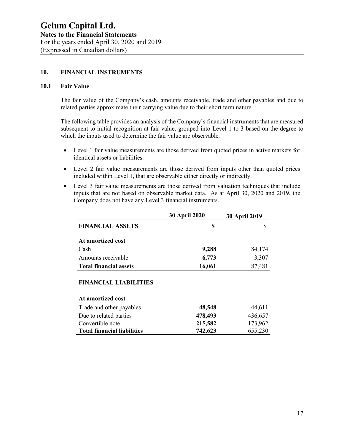## **10. FINANCIAL INSTRUMENTS**

#### **10.1 Fair Value**

The fair value of the Company's cash, amounts receivable, trade and other payables and due to related parties approximate their carrying value due to their short term nature.

The following table provides an analysis of the Company's financial instruments that are measured subsequent to initial recognition at fair value, grouped into Level 1 to 3 based on the degree to which the inputs used to determine the fair value are observable.

- Level 1 fair value measurements are those derived from quoted prices in active markets for identical assets or liabilities.
- Level 2 fair value measurements are those derived from inputs other than quoted prices included within Level 1, that are observable either directly or indirectly.
- Level 3 fair value measurements are those derived from valuation techniques that include inputs that are not based on observable market data. As at April 30, 2020 and 2019, the Company does not have any Level 3 financial instruments.

|                               | <b>30 April 2020</b> | <b>30 April 2019</b> |  |
|-------------------------------|----------------------|----------------------|--|
| <b>FINANCIAL ASSETS</b>       |                      |                      |  |
| At amortized cost             |                      |                      |  |
| Cash                          | 9,288                | 84,174               |  |
| Amounts receivable            | 6,773                | 3,307                |  |
| <b>Total financial assets</b> | 16,061               | 87,481               |  |

#### **FINANCIAL LIABILITIES**

#### **At amortized cost**

| Trade and other payables           | 48,548  | 44,611  |
|------------------------------------|---------|---------|
| Due to related parties             | 478,493 | 436,657 |
| Convertible note                   | 215,582 | 173,962 |
| <b>Total financial liabilities</b> | 742,623 | 655,230 |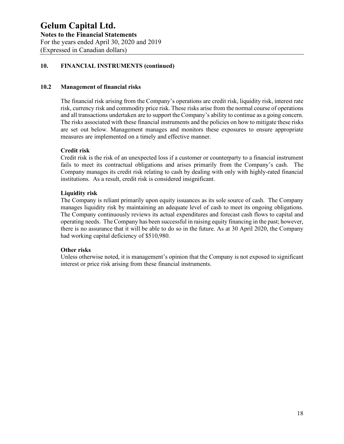# **10. FINANCIAL INSTRUMENTS (continued)**

# **10.2 Management of financial risks**

The financial risk arising from the Company's operations are credit risk, liquidity risk, interest rate risk, currency risk and commodity price risk. These risks arise from the normal course of operations and all transactions undertaken are to support the Company's ability to continue as a going concern. The risks associated with these financial instruments and the policies on how to mitigate these risks are set out below. Management manages and monitors these exposures to ensure appropriate measures are implemented on a timely and effective manner.

#### **Credit risk**

Credit risk is the risk of an unexpected loss if a customer or counterparty to a financial instrument fails to meet its contractual obligations and arises primarily from the Company's cash. The Company manages its credit risk relating to cash by dealing with only with highly-rated financial institutions. As a result, credit risk is considered insignificant.

#### **Liquidity risk**

The Company is reliant primarily upon equity issuances as its sole source of cash. The Company manages liquidity risk by maintaining an adequate level of cash to meet its ongoing obligations. The Company continuously reviews its actual expenditures and forecast cash flows to capital and operating needs. The Company has been successful in raising equity financing in the past; however, there is no assurance that it will be able to do so in the future. As at 30 April 2020, the Company had working capital deficiency of \$510,980.

#### **Other risks**

Unless otherwise noted, it is management's opinion that the Company is not exposed to significant interest or price risk arising from these financial instruments.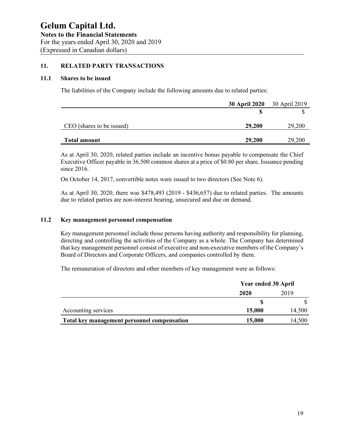#### **11. RELATED PARTY TRANSACTIONS**

#### **11.1 Shares to be issued**

The liabilities of the Company include the following amounts due to related parties:

|                           | <b>30 April 2020</b> | 30 April 2019 |
|---------------------------|----------------------|---------------|
|                           |                      |               |
| CEO (shares to be issued) | 29,200               | 29,200        |
| <b>Total amount</b>       | 29,200               | 29,200        |

As at April 30, 2020, related parties include an incentive bonus payable to compensate the Chief Executive Officer payable in 36,500 common shares at a price of \$0.80 per share. Issuance pending since 2016.

On October 14, 2017, convertible notes were issued to two directors (See Note 6).

As at April 30, 2020, there was \$478,493 (2019 - \$436,657) due to related parties. The amounts due to related parties are non-interest bearing, unsecured and due on demand.

#### **11.2 Key management personnel compensation**

Key management personnel include those persons having authority and responsibility for planning, directing and controlling the activities of the Company as a whole. The Company has determined that key management personnel consist of executive and non-executive members of the Company's Board of Directors and Corporate Officers, and companies controlled by them.

The remuneration of directors and other members of key management were as follows:

|                                             | <b>Year ended 30 April</b> |        |
|---------------------------------------------|----------------------------|--------|
|                                             | 2020                       | 2019   |
|                                             |                            |        |
| Accounting services                         | 15,000                     | 14,500 |
| Total key management personnel compensation | 15,000                     | 14,500 |